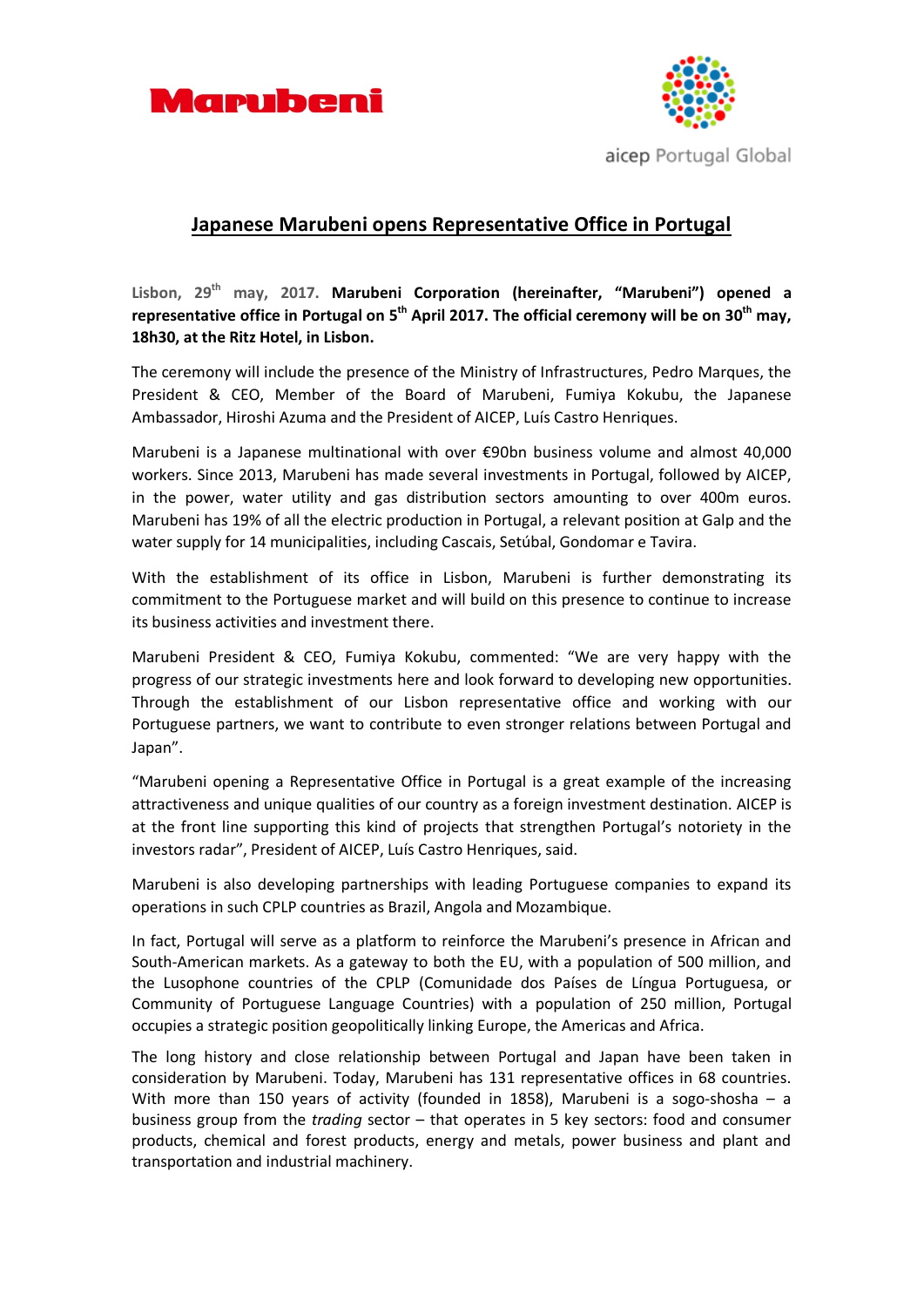



## **Japanese Marubeni opens Representative Office in Portugal**

**Lisbon, 29th may, 2017. Marubeni Corporation (hereinafter, "Marubeni") opened a**  representative office in Portugal on 5<sup>th</sup> April 2017. The official ceremony will be on 30<sup>th</sup> may, **18h30, at the Ritz Hotel, in Lisbon.**

The ceremony will include the presence of the Ministry of Infrastructures, Pedro Marques, the President & CEO, Member of the Board of Marubeni, Fumiya Kokubu, the Japanese Ambassador, Hiroshi Azuma and the President of AICEP, Luís Castro Henriques.

Marubeni is a Japanese multinational with over €90bn business volume and almost 40,000 workers. Since 2013, Marubeni has made several investments in Portugal, followed by AICEP, in the power, water utility and gas distribution sectors amounting to over 400m euros. Marubeni has 19% of all the electric production in Portugal, a relevant position at Galp and the water supply for 14 municipalities, including Cascais, Setúbal, Gondomar e Tavira.

With the establishment of its office in Lisbon, Marubeni is further demonstrating its commitment to the Portuguese market and will build on this presence to continue to increase its business activities and investment there.

Marubeni President & CEO, Fumiya Kokubu, commented: "We are very happy with the progress of our strategic investments here and look forward to developing new opportunities. Through the establishment of our Lisbon representative office and working with our Portuguese partners, we want to contribute to even stronger relations between Portugal and Japan".

"Marubeni opening a Representative Office in Portugal is a great example of the increasing attractiveness and unique qualities of our country as a foreign investment destination. AICEP is at the front line supporting this kind of projects that strengthen Portugal's notoriety in the investors radar", President of AICEP, Luís Castro Henriques, said.

Marubeni is also developing partnerships with leading Portuguese companies to expand its operations in such CPLP countries as Brazil, Angola and Mozambique.

In fact, Portugal will serve as a platform to reinforce the Marubeni's presence in African and South-American markets. As a gateway to both the EU, with a population of 500 million, and the Lusophone countries of the CPLP (Comunidade dos Países de Língua Portuguesa, or Community of Portuguese Language Countries) with a population of 250 million, Portugal occupies a strategic position geopolitically linking Europe, the Americas and Africa.

The long history and close relationship between Portugal and Japan have been taken in consideration by Marubeni. Today, Marubeni has 131 representative offices in 68 countries. With more than 150 years of activity (founded in 1858), Marubeni is a sogo-shosha - a business group from the *trading* sector – that operates in 5 key sectors: food and consumer products, chemical and forest products, energy and metals, power business and plant and transportation and industrial machinery.